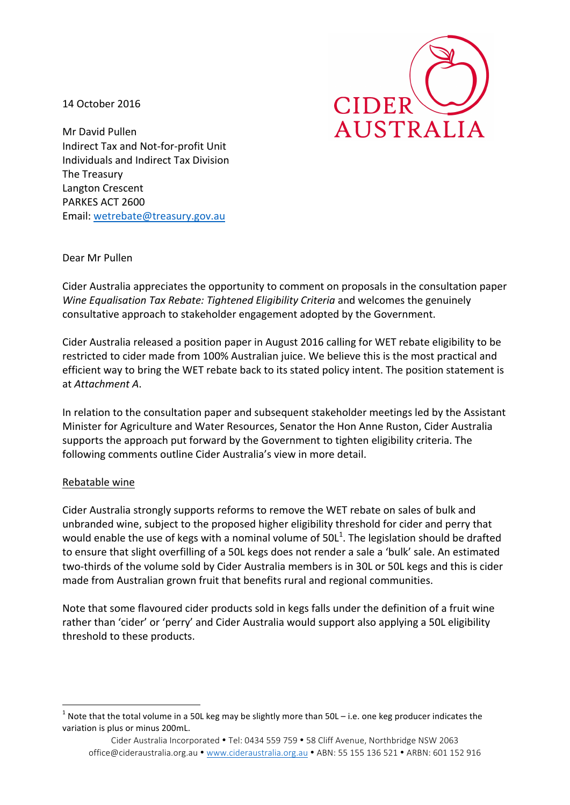14 October 2016



Mr David Pullen Indirect Tax and Not-for-profit Unit Individuals and Indirect Tax Division The Treasury Langton Crescent PARKES ACT 2600 Email: wetrebate@treasury.gov.au

Dear!Mr!Pullen

Cider Australia appreciates the opportunity to comment on proposals in the consultation paper *Wine Equalisation Tax Rebate: Tightened Eligibility Criteria and welcomes the genuinely* consultative approach to stakeholder engagement adopted by the Government.

Cider Australia released a position paper in August 2016 calling for WET rebate eligibility to be restricted to cider made from 100% Australian juice. We believe this is the most practical and efficient way to bring the WET rebate back to its stated policy intent. The position statement is at *Attachment A.* 

In relation to the consultation paper and subsequent stakeholder meetings led by the Assistant Minister for Agriculture and Water Resources, Senator the Hon Anne Ruston, Cider Australia supports the approach put forward by the Government to tighten eligibility criteria. The following comments outline Cider Australia's view in more detail.

## Rebatable wine

!!!!!!!!!!!!!!!!!!!!!!!!!!!!!!!!!!!!!!!!!!!!!!!!!!!!!!!!!!!!

Cider Australia strongly supports reforms to remove the WET rebate on sales of bulk and unbranded wine, subject to the proposed higher eligibility threshold for cider and perry that would enable the use of kegs with a nominal volume of  $50L^1$ . The legislation should be drafted to ensure that slight overfilling of a 50L kegs does not render a sale a 'bulk' sale. An estimated two-thirds of the volume sold by Cider Australia members is in 30L or 50L kegs and this is cider made from Australian grown fruit that benefits rural and regional communities.

Note that some flavoured cider products sold in kegs falls under the definition of a fruit wine rather than 'cider' or 'perry' and Cider Australia would support also applying a 50L eligibility threshold to these products.

<sup>&</sup>lt;sup>1</sup> Note that the total volume in a 50L keg may be slightly more than 50L – i.e. one keg producer indicates the variation is plus or minus 200mL.

Cider Australia Incorporated • Tel: 0434 559 759 • 58 Cliff Avenue, Northbridge NSW 2063 office@cideraustralia.org.au • www.cideraustralia.org.au • ABN: 55 135 136 521 • ARBN: 601 152 916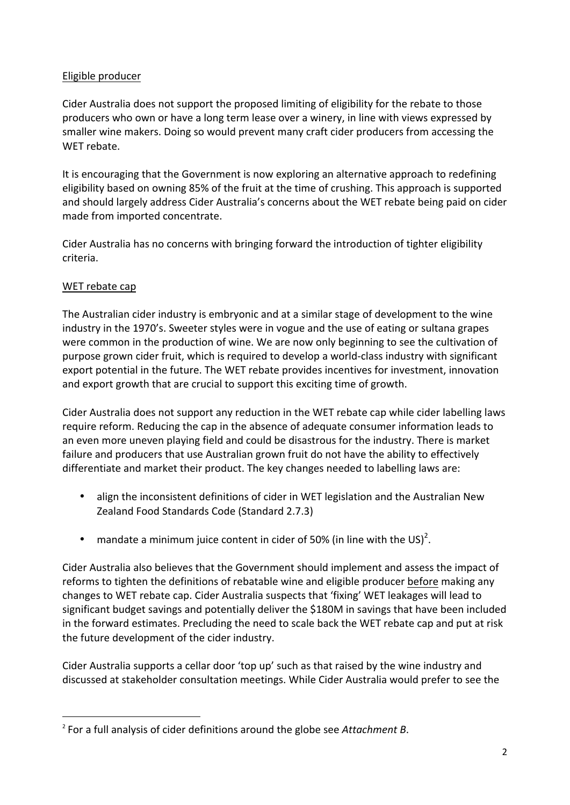# Eligible producer

Cider Australia does not support the proposed limiting of eligibility for the rebate to those producers who own or have a long term lease over a winery, in line with views expressed by smaller wine makers. Doing so would prevent many craft cider producers from accessing the WFT rebate.

It is encouraging that the Government is now exploring an alternative approach to redefining eligibility based on owning 85% of the fruit at the time of crushing. This approach is supported and should largely address Cider Australia's concerns about the WET rebate being paid on cider made from imported concentrate.

Cider Australia has no concerns with bringing forward the introduction of tighter eligibility criteria.!

# WET rebate cap

The Australian cider industry is embryonic and at a similar stage of development to the wine industry in the 1970's. Sweeter styles were in vogue and the use of eating or sultana grapes were common in the production of wine. We are now only beginning to see the cultivation of purpose grown cider fruit, which is required to develop a world-class industry with significant export potential in the future. The WET rebate provides incentives for investment, innovation and export growth that are crucial to support this exciting time of growth.

Cider Australia does not support any reduction in the WET rebate cap while cider labelling laws require reform. Reducing the cap in the absence of adequate consumer information leads to an even more uneven playing field and could be disastrous for the industry. There is market failure and producers that use Australian grown fruit do not have the ability to effectively differentiate and market their product. The key changes needed to labelling laws are:

- align the inconsistent definitions of cider in WET legislation and the Australian New Zealand Food Standards Code (Standard 2.7.3)
- mandate a minimum juice content in cider of 50% (in line with the US)<sup>2</sup>.

Cider Australia also believes that the Government should implement and assess the impact of reforms to tighten the definitions of rebatable wine and eligible producer before making any changes to WET rebate cap. Cider Australia suspects that 'fixing' WET leakages will lead to significant budget savings and potentially deliver the \$180M in savings that have been included in the forward estimates. Precluding the need to scale back the WET rebate cap and put at risk the future development of the cider industry.

Cider Australia supports a cellar door 'top up' such as that raised by the wine industry and discussed at stakeholder consultation meetings. While Cider Australia would prefer to see the

!!!!!!!!!!!!!!!!!!!!!!!!!!!!!!!!!!!!!!!!!!!!!!!!!!!!!!!!!!!!

<sup>&</sup>lt;sup>2</sup> For a full analysis of cider definitions around the globe see *Attachment B*.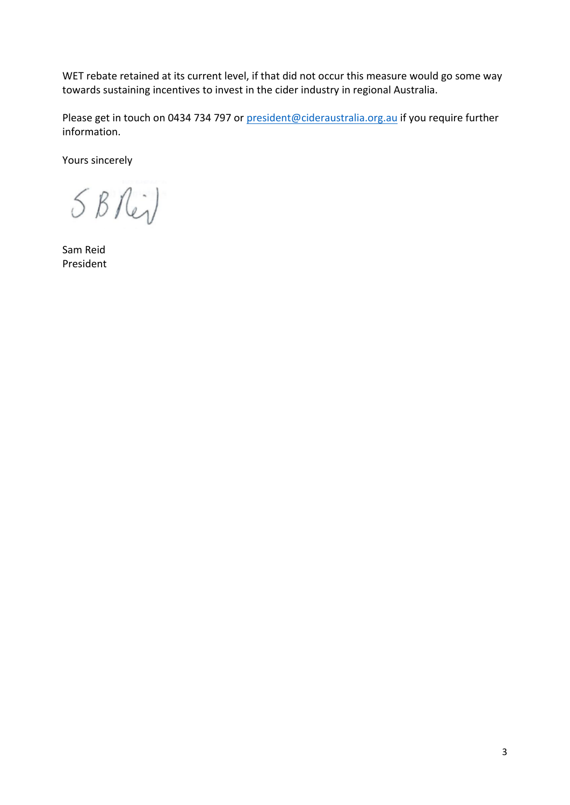WET rebate retained at its current level, if that did not occur this measure would go some way towards sustaining incentives to invest in the cider industry in regional Australia.

Please get in touch on 0434 734 797 or president@cideraustralia.org.au if you require further information.

Yours sincerely

5 BRi)

Sam!Reid President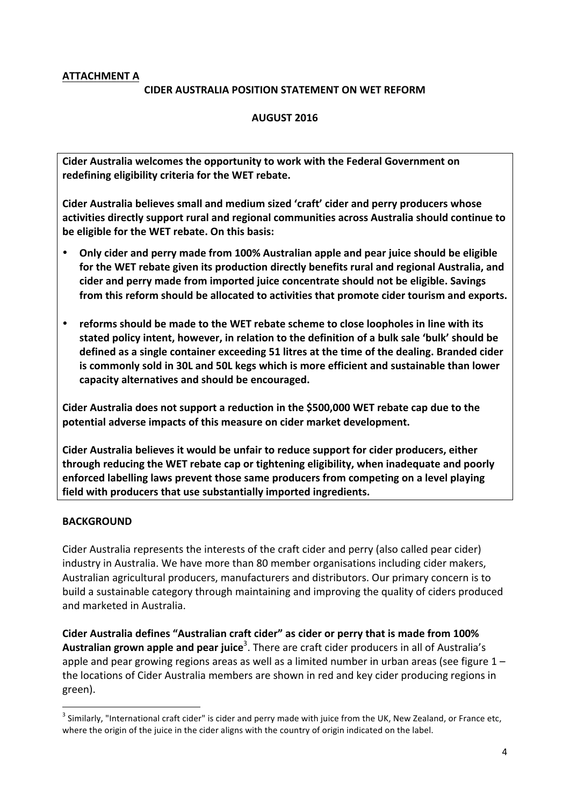# **ATTACHMENT A**

### **CIDER AUSTRALIA POSITION STATEMENT ON WET REFORM**

### **AUGUST(2016**

**Cider Australia welcomes the opportunity to work with the Federal Government on** redefining eligibility criteria for the WET rebate.

Cider Australia believes small and medium sized 'craft' cider and perry producers whose activities directly support rural and regional communities across Australia should continue to be eligible for the WET rebate. On this basis:

- **Only cider and perry made from 100% Australian apple and pear juice should be eligible** for the WET rebate given its production directly benefits rural and regional Australia, and  $c$ ider and perry made from imported juice concentrate should not be eligible. Savings from this reform should be allocated to activities that promote cider tourism and exports.
- reforms should be made to the WET rebate scheme to close loopholes in line with its stated policy intent, however, in relation to the definition of a bulk sale 'bulk' should be defined as a single container exceeding 51 litres at the time of the dealing. Branded cider is commonly sold in 30L and 50L kegs which is more efficient and sustainable than lower capacity alternatives and should be encouraged.

Cider Australia does not support a reduction in the \$500,000 WET rebate cap due to the potential adverse impacts of this measure on cider market development.

**Cider Australia believes it would be unfair to reduce support for cider producers, either** through reducing the WET rebate cap or tightening eligibility, when inadequate and poorly enforced labelling laws prevent those same producers from competing on a level playing field with producers that use substantially imported ingredients.

#### **BACKGROUND**

!!!!!!!!!!!!!!!!!!!!!!!!!!!!!!!!!!!!!!!!!!!!!!!!!!!!!!!!!!!!

Cider Australia represents the interests of the craft cider and perry (also called pear cider) industry in Australia. We have more than 80 member organisations including cider makers, Australian agricultural producers, manufacturers and distributors. Our primary concern is to build a sustainable category through maintaining and improving the quality of ciders produced and marketed in Australia.

**Cider Australia defines "Australian craft cider" as cider or perry that is made from 100%** Australian grown apple and pear juice<sup>3</sup>. There are craft cider producers in all of Australia's apple and pear growing regions areas as well as a limited number in urban areas (see figure  $1$ the locations of Cider Australia members are shown in red and key cider producing regions in green).

 $3$  Similarly, "International craft cider" is cider and perry made with juice from the UK, New Zealand, or France etc, where the origin of the juice in the cider aligns with the country of origin indicated on the label.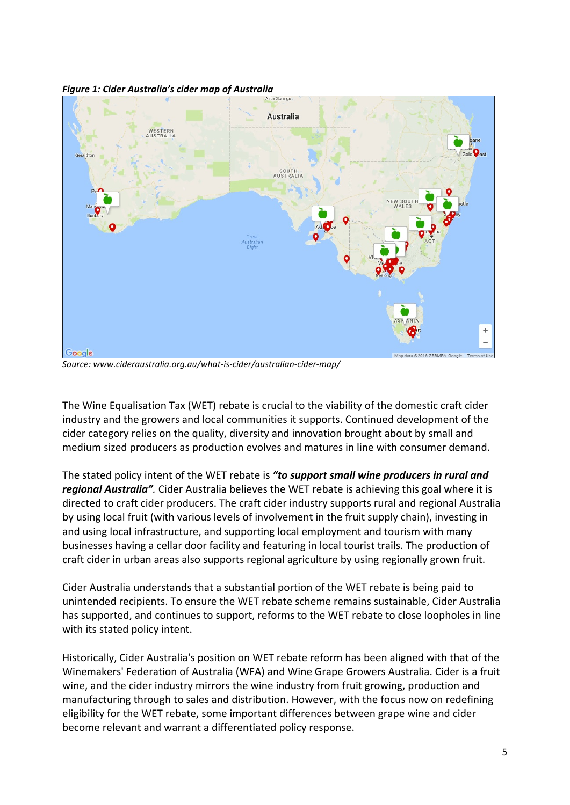

*Figure 1: Cider Australia's cider map of Australia* 

Source: www.cideraustralia.org.au/what-is-cider/australian-cider-map/

The Wine Equalisation Tax (WET) rebate is crucial to the viability of the domestic craft cider industry and the growers and local communities it supports. Continued development of the cider category relies on the quality, diversity and innovation brought about by small and medium sized producers as production evolves and matures in line with consumer demand.

The stated policy intent of the WET rebate is "to support small wine producers in rural and *regional Australia"*. Cider Australia believes the WET rebate is achieving this goal where it is directed to craft cider producers. The craft cider industry supports rural and regional Australia by using local fruit (with various levels of involvement in the fruit supply chain), investing in and using local infrastructure, and supporting local employment and tourism with many businesses having a cellar door facility and featuring in local tourist trails. The production of craft cider in urban areas also supports regional agriculture by using regionally grown fruit.

Cider Australia understands that a substantial portion of the WET rebate is being paid to unintended recipients. To ensure the WET rebate scheme remains sustainable, Cider Australia has supported, and continues to support, reforms to the WET rebate to close loopholes in line with its stated policy intent.

Historically, Cider Australia's position on WET rebate reform has been aligned with that of the Winemakers' Federation of Australia (WFA) and Wine Grape Growers Australia. Cider is a fruit wine, and the cider industry mirrors the wine industry from fruit growing, production and manufacturing through to sales and distribution. However, with the focus now on redefining eligibility for the WET rebate, some important differences between grape wine and cider become relevant and warrant a differentiated policy response.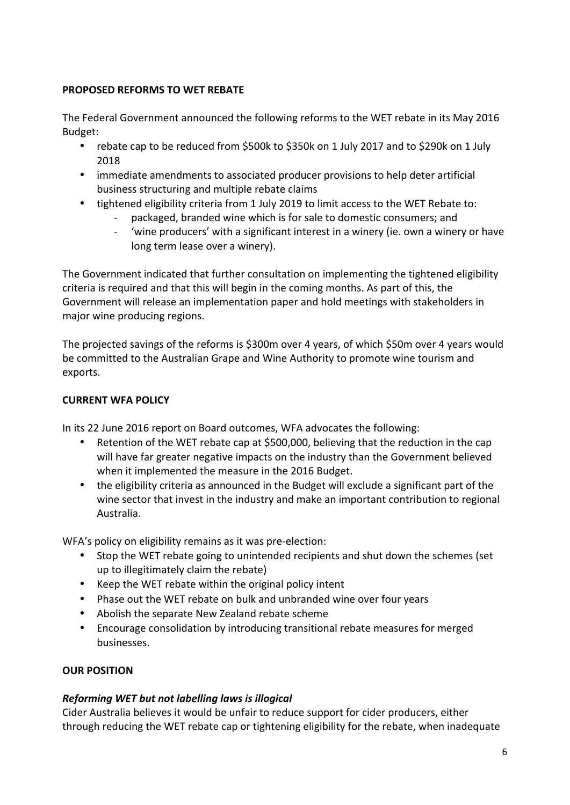## **PROPOSED REFORMS TO WET REBATE**

The Federal Government announced the following reforms to the WET rebate in its May 2016 Budget:

- rebate cap to be reduced from \$500k to \$350k on 1 July 2017 and to \$290k on 1 July 2018
- immediate amendments to associated producer provisions to help deter artificial business structuring and multiple rebate claims
- tightened eligibility criteria from 1 July 2019 to limit access to the WET Rebate to:
	- packaged, branded wine which is for sale to domestic consumers; and
	- 'wine producers' with a significant interest in a winery (ie. own a winery or have long term lease over a winery).

The Government indicated that further consultation on implementing the tightened eligibility criteria is required and that this will begin in the coming months. As part of this, the Government will release an implementation paper and hold meetings with stakeholders in major wine producing regions.

The projected savings of the reforms is \$300m over 4 years, of which \$50m over 4 years would be committed to the Australian Grape and Wine Authority to promote wine tourism and exports.

# **CURRENT WFA POLICY**

In its 22 June 2016 report on Board outcomes, WFA advocates the following:

- Retention of the WET rebate cap at \$500,000, believing that the reduction in the cap will have far greater negative impacts on the industry than the Government believed when it implemented the measure in the 2016 Budget.
- the eligibility criteria as announced in the Budget will exclude a significant part of the wine sector that invest in the industry and make an important contribution to regional Australia.!

WFA's policy on eligibility remains as it was pre-election:

- Stop the WET rebate going to unintended recipients and shut down the schemes (set up to illegitimately claim the rebate)
- Keep the WET rebate within the original policy intent
- Phase out the WET rebate on bulk and unbranded wine over four years
- Abolish the separate New Zealand rebate scheme
- Encourage consolidation by introducing transitional rebate measures for merged businesses.

# **OUR POSITION**

# *Reforming WET'but'not'labelling'laws'is'illogical*

Cider Australia believes it would be unfair to reduce support for cider producers, either through reducing the WET rebate cap or tightening eligibility for the rebate, when inadequate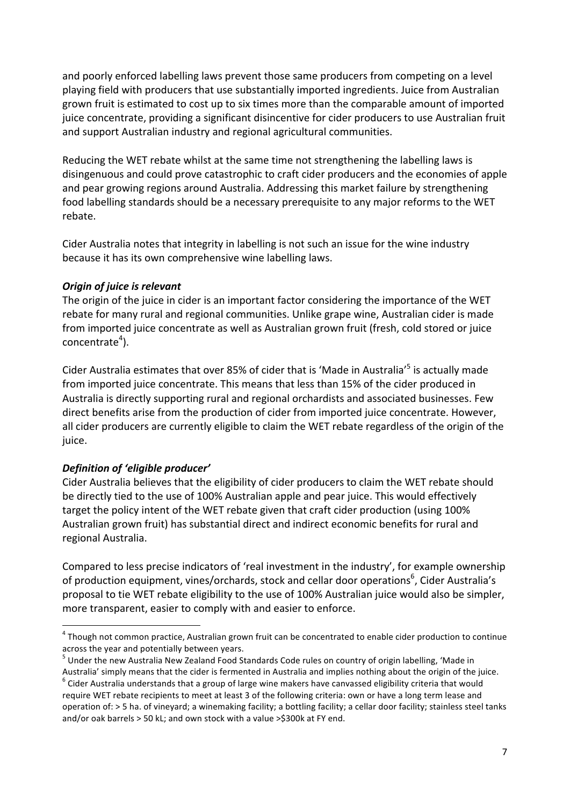and poorly enforced labelling laws prevent those same producers from competing on a level playing field with producers that use substantially imported ingredients. Juice from Australian grown fruit is estimated to cost up to six times more than the comparable amount of imported juice concentrate, providing a significant disincentive for cider producers to use Australian fruit and support Australian industry and regional agricultural communities.

Reducing the WET rebate whilst at the same time not strengthening the labelling laws is disingenuous and could prove catastrophic to craft cider producers and the economies of apple and pear growing regions around Australia. Addressing this market failure by strengthening food labelling standards should be a necessary prerequisite to any major reforms to the WET rebate.

Cider Australia notes that integrity in labelling is not such an issue for the wine industry because it has its own comprehensive wine labelling laws.

## **Origin of juice is relevant**

The origin of the juice in cider is an important factor considering the importance of the WET rebate for many rural and regional communities. Unlike grape wine, Australian cider is made from imported juice concentrate as well as Australian grown fruit (fresh, cold stored or juice concentrate<sup>4</sup>).

Cider Australia estimates that over 85% of cider that is 'Made in Australia'<sup>5</sup> is actually made from imported juice concentrate. This means that less than 15% of the cider produced in Australia is directly supporting rural and regional orchardists and associated businesses. Few direct benefits arise from the production of cider from imported juice concentrate. However, all cider producers are currently eligible to claim the WET rebate regardless of the origin of the juice.

## *Definition'of''eligible'producer'*

!!!!!!!!!!!!!!!!!!!!!!!!!!!!!!!!!!!!!!!!!!!!!!!!!!!!!!!!!!!!

Cider Australia believes that the eligibility of cider producers to claim the WET rebate should be directly tied to the use of 100% Australian apple and pear juice. This would effectively target the policy intent of the WET rebate given that craft cider production (using 100% Australian grown fruit) has substantial direct and indirect economic benefits for rural and regional Australia.

Compared to less precise indicators of 'real investment in the industry', for example ownership of production equipment, vines/orchards, stock and cellar door operations<sup>6</sup>, Cider Australia's proposal to tie WET rebate eligibility to the use of 100% Australian juice would also be simpler, more transparent, easier to comply with and easier to enforce.

 $4$  Though not common practice, Australian grown fruit can be concentrated to enable cider production to continue

across the year and potentially between years.<br><sup>5</sup> Under the new Australia New Zealand Food Standards Code rules on country of origin labelling, 'Made in

Australia' simply means that the cider is fermented in Australia and implies nothing about the origin of the juice.<br><sup>6</sup> Cider Australia understands that a group of large wine makers have canvassed eligibility criteria that require WET rebate recipients to meet at least 3 of the following criteria: own or have a long term lease and operation of: > 5 ha. of vineyard; a winemaking facility; a bottling facility; a cellar door facility; stainless steel tanks and/or oak barrels  $>$  50 kL; and own stock with a value  $>$ \$300k at FY end.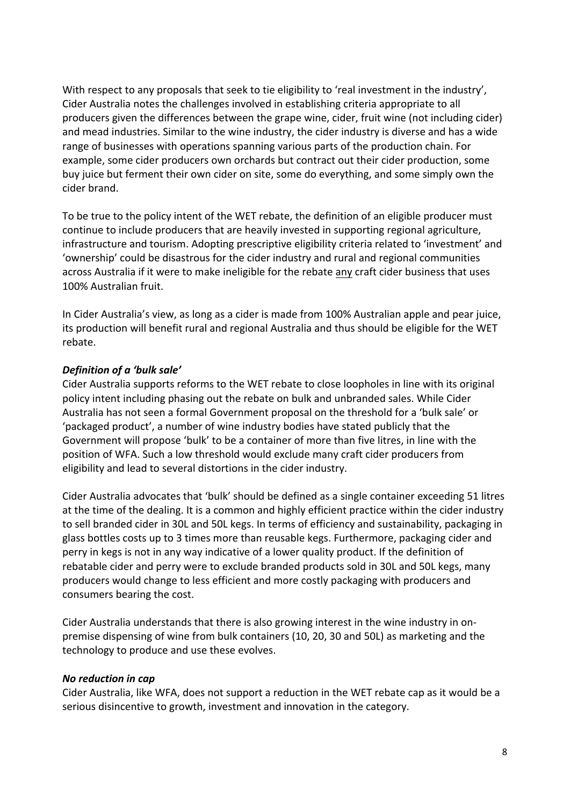With respect to any proposals that seek to tie eligibility to 'real investment in the industry', Cider Australia notes the challenges involved in establishing criteria appropriate to all producers given the differences between the grape wine, cider, fruit wine (not including cider) and mead industries. Similar to the wine industry, the cider industry is diverse and has a wide range of businesses with operations spanning various parts of the production chain. For example, some cider producers own orchards but contract out their cider production, some buy juice but ferment their own cider on site, some do everything, and some simply own the cider brand.

To be true to the policy intent of the WET rebate, the definition of an eligible producer must continue to include producers that are heavily invested in supporting regional agriculture, infrastructure and tourism. Adopting prescriptive eligibility criteria related to 'investment' and 'ownership' could be disastrous for the cider industry and rural and regional communities across Australia if it were to make ineligible for the rebate any craft cider business that uses 100% Australian fruit.

In Cider Australia's view, as long as a cider is made from 100% Australian apple and pear juice, its production will benefit rural and regional Australia and thus should be eligible for the WET rebate.

## *Definition'of'a''bulk'sale'*

Cider Australia supports reforms to the WET rebate to close loopholes in line with its original policy intent including phasing out the rebate on bulk and unbranded sales. While Cider Australia has not seen a formal Government proposal on the threshold for a 'bulk sale' or 'packaged product', a number of wine industry bodies have stated publicly that the Government will propose 'bulk' to be a container of more than five litres, in line with the position of WFA. Such a low threshold would exclude many craft cider producers from eligibility and lead to several distortions in the cider industry.

Cider Australia advocates that 'bulk' should be defined as a single container exceeding 51 litres at the time of the dealing. It is a common and highly efficient practice within the cider industry to sell branded cider in 30L and 50L kegs. In terms of efficiency and sustainability, packaging in glass bottles costs up to 3 times more than reusable kegs. Furthermore, packaging cider and perry in kegs is not in any way indicative of a lower quality product. If the definition of rebatable cider and perry were to exclude branded products sold in 30L and 50L kegs, many producers would change to less efficient and more costly packaging with producers and consumers bearing the cost.

Cider Australia understands that there is also growing interest in the wine industry in onpremise dispensing of wine from bulk containers (10, 20, 30 and 50L) as marketing and the technology to produce and use these evolves.

#### *No'reduction'in'cap*

Cider Australia, like WFA, does not support a reduction in the WET rebate cap as it would be a serious disincentive to growth, investment and innovation in the category.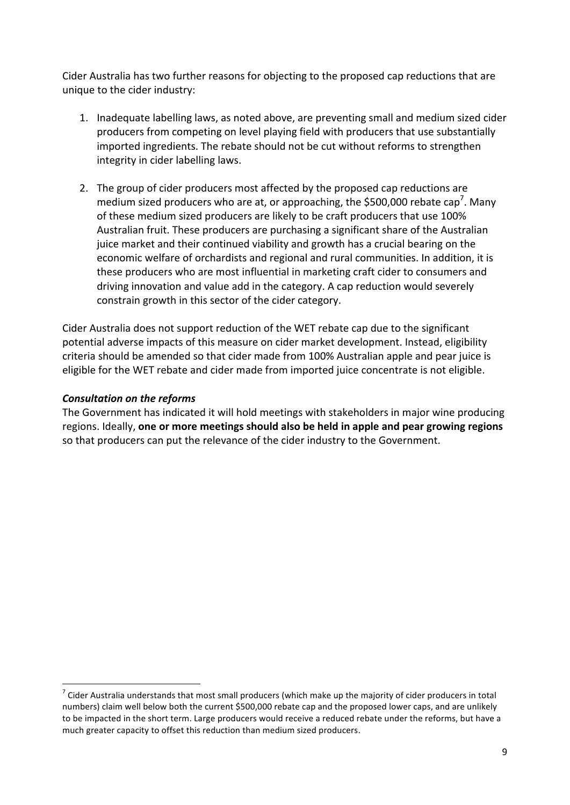Cider Australia has two further reasons for objecting to the proposed cap reductions that are unique to the cider industry:

- 1. Inadequate labelling laws, as noted above, are preventing small and medium sized cider producers from competing on level playing field with producers that use substantially imported ingredients. The rebate should not be cut without reforms to strengthen integrity in cider labelling laws.
- 2. The group of cider producers most affected by the proposed cap reductions are medium sized producers who are at, or approaching, the \$500,000 rebate cap<sup>7</sup>. Many of these medium sized producers are likely to be craft producers that use 100% Australian fruit. These producers are purchasing a significant share of the Australian juice market and their continued viability and growth has a crucial bearing on the economic welfare of orchardists and regional and rural communities. In addition, it is these producers who are most influential in marketing craft cider to consumers and driving innovation and value add in the category. A cap reduction would severely constrain growth in this sector of the cider category.

Cider Australia does not support reduction of the WET rebate cap due to the significant potential adverse impacts of this measure on cider market development. Instead, eligibility criteria should be amended so that cider made from 100% Australian apple and pear juice is eligible for the WET rebate and cider made from imported juice concentrate is not eligible.

## *Consultation'on'the'reforms*

The Government has indicated it will hold meetings with stakeholders in major wine producing regions. Ideally, one or more meetings should also be held in apple and pear growing regions so that producers can put the relevance of the cider industry to the Government.

 $17$  Cider Australia understands that most small producers (which make up the majority of cider producers in total numbers) claim well below both the current \$500,000 rebate cap and the proposed lower caps, and are unlikely to be impacted in the short term. Large producers would receive a reduced rebate under the reforms, but have a much greater capacity to offset this reduction than medium sized producers.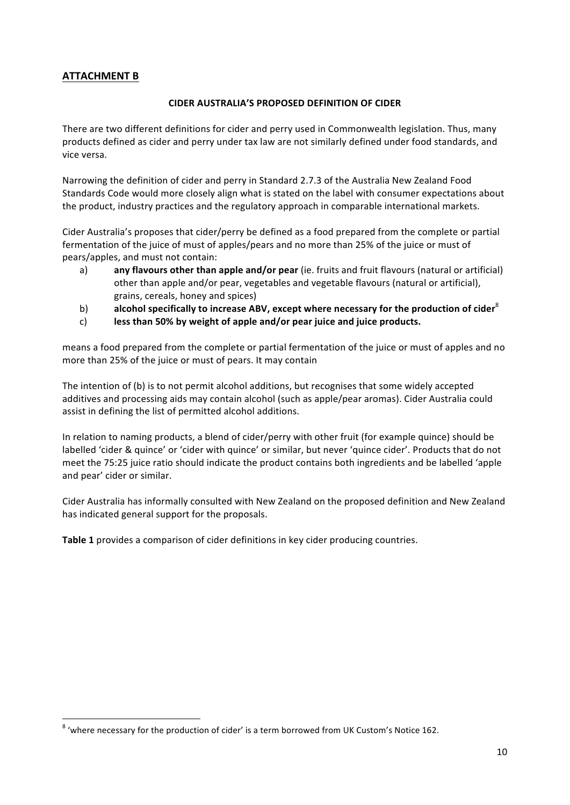# **ATTACHMENT B**

#### **CIDER AUSTRALIA'S PROPOSED DEFINITION OF CIDER**

There are two different definitions for cider and perry used in Commonwealth legislation. Thus, many products defined as cider and perry under tax law are not similarly defined under food standards, and vice versa.

Narrowing the definition of cider and perry in Standard 2.7.3 of the Australia New Zealand Food Standards Code would more closely align what is stated on the label with consumer expectations about the product, industry practices and the regulatory approach in comparable international markets.

Cider Australia's proposes that cider/perry be defined as a food prepared from the complete or partial fermentation of the juice of must of apples/pears and no more than 25% of the juice or must of pears/apples, and must not contain:

- a) **any flavours other than apple and/or pear** (ie. fruits and fruit flavours (natural or artificial) other than apple and/or pear, vegetables and vegetable flavours (natural or artificial), grains, cereals, honey and spices)
- b) **alcohol specifically to increase ABV, except where necessary for the production of cider<sup>8</sup>**
- c) **less than 50% by weight of apple and/or pear juice and juice products.**

means a food prepared from the complete or partial fermentation of the juice or must of apples and no more than 25% of the juice or must of pears. It may contain

The intention of (b) is to not permit alcohol additions, but recognises that some widely accepted additives and processing aids may contain alcohol (such as apple/pear aromas). Cider Australia could assist in defining the list of permitted alcohol additions.

In relation to naming products, a blend of cider/perry with other fruit (for example quince) should be labelled 'cider & quince' or 'cider with quince' or similar, but never 'quince cider'. Products that do not meet the 75:25 juice ratio should indicate the product contains both ingredients and be labelled 'apple and pear' cider or similar.

Cider Australia has informally consulted with New Zealand on the proposed definition and New Zealand has indicated general support for the proposals.

Table 1 provides a comparison of cider definitions in key cider producing countries.

!!!!!!!!!!!!!!!!!!!!!!!!!!!!!!!!!!!!!!!!!!!!!!!!!!!!!!!!!!!!

 $8$  'where necessary for the production of cider' is a term borrowed from UK Custom's Notice 162.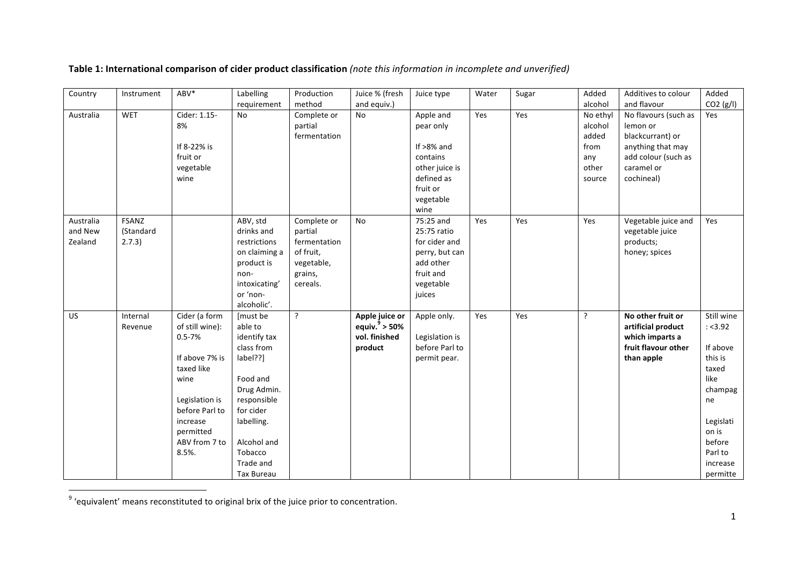| Country   | Instrument   | ABV*            | Labelling               | Production   | Juice % (fresh   | Juice type     | Water | Sugar | Added    | Additives to colour  | Added      |
|-----------|--------------|-----------------|-------------------------|--------------|------------------|----------------|-------|-------|----------|----------------------|------------|
|           |              |                 | requirement             | method       | and equiv.)      |                |       |       | alcohol  | and flavour          | CO2(g/l)   |
| Australia | <b>WET</b>   | Cider: 1.15-    | <b>No</b>               | Complete or  | No               | Apple and      | Yes   | Yes   | No ethyl | No flavours (such as | Yes        |
|           |              | 8%              |                         | partial      |                  | pear only      |       |       | alcohol  | lemon or             |            |
|           |              |                 |                         | fermentation |                  |                |       |       | added    | blackcurrant) or     |            |
|           |              | If 8-22% is     |                         |              |                  | If $>8\%$ and  |       |       | from     | anything that may    |            |
|           |              | fruit or        |                         |              |                  | contains       |       |       | any      | add colour (such as  |            |
|           |              | vegetable       |                         |              |                  | other juice is |       |       | other    | caramel or           |            |
|           |              | wine            |                         |              |                  | defined as     |       |       | source   | cochineal)           |            |
|           |              |                 |                         |              |                  | fruit or       |       |       |          |                      |            |
|           |              |                 |                         |              |                  | vegetable      |       |       |          |                      |            |
|           |              |                 |                         |              |                  | wine           |       |       |          |                      |            |
| Australia | <b>FSANZ</b> |                 | ABV, std                | Complete or  | No               | 75:25 and      | Yes   | Yes   | Yes      | Vegetable juice and  | Yes        |
| and New   | (Standard    |                 | drinks and              | partial      |                  | 25:75 ratio    |       |       |          | vegetable juice      |            |
| Zealand   | 2.7.3)       |                 | restrictions            | fermentation |                  | for cider and  |       |       |          | products;            |            |
|           |              |                 | on claiming a           | of fruit,    |                  | perry, but can |       |       |          | honey; spices        |            |
|           |              |                 | product is              | vegetable,   |                  | add other      |       |       |          |                      |            |
|           |              |                 | non-                    | grains,      |                  | fruit and      |       |       |          |                      |            |
|           |              |                 | intoxicating'           | cereals.     |                  | vegetable      |       |       |          |                      |            |
|           |              |                 | or 'non-<br>alcoholic'. |              |                  | juices         |       |       |          |                      |            |
| <b>US</b> | Internal     | Cider (a form   | [must be                | ?            | Apple juice or   | Apple only.    | Yes   | Yes   | ?        | No other fruit or    | Still wine |
|           | Revenue      | of still wine): | able to                 |              | equiv. $9$ > 50% |                |       |       |          | artificial product   | : < 3.92   |
|           |              | $0.5 - 7%$      | identify tax            |              | vol. finished    | Legislation is |       |       |          | which imparts a      |            |
|           |              |                 | class from              |              | product          | before Parl to |       |       |          | fruit flavour other  | If above   |
|           |              | If above 7% is  | label??]                |              |                  | permit pear.   |       |       |          | than apple           | this is    |
|           |              | taxed like      |                         |              |                  |                |       |       |          |                      | taxed      |
|           |              | wine            | Food and                |              |                  |                |       |       |          |                      | like       |
|           |              |                 | Drug Admin.             |              |                  |                |       |       |          |                      | champag    |
|           |              | Legislation is  | responsible             |              |                  |                |       |       |          |                      | ne         |
|           |              | before Parl to  | for cider               |              |                  |                |       |       |          |                      |            |
|           |              | increase        | labelling.              |              |                  |                |       |       |          |                      | Legislati  |
|           |              | permitted       |                         |              |                  |                |       |       |          |                      | on is      |
|           |              | ABV from 7 to   | Alcohol and             |              |                  |                |       |       |          |                      | before     |
|           |              | 8.5%.           | Tobacco                 |              |                  |                |       |       |          |                      | Parl to    |
|           |              |                 | Trade and               |              |                  |                |       |       |          |                      | increase   |
|           |              |                 | <b>Tax Bureau</b>       |              |                  |                |       |       |          |                      | permitte   |

# Table 1: International comparison of cider product classification (note this information in incomplete and unverified)

!!!!!!!!!!!!!!!!!!!!!!!!!!!!!!!!!!!!!!!!!!!!!!!!!!!!!!!!!!!!

 $9$  'equivalent' means reconstituted to original brix of the juice prior to concentration.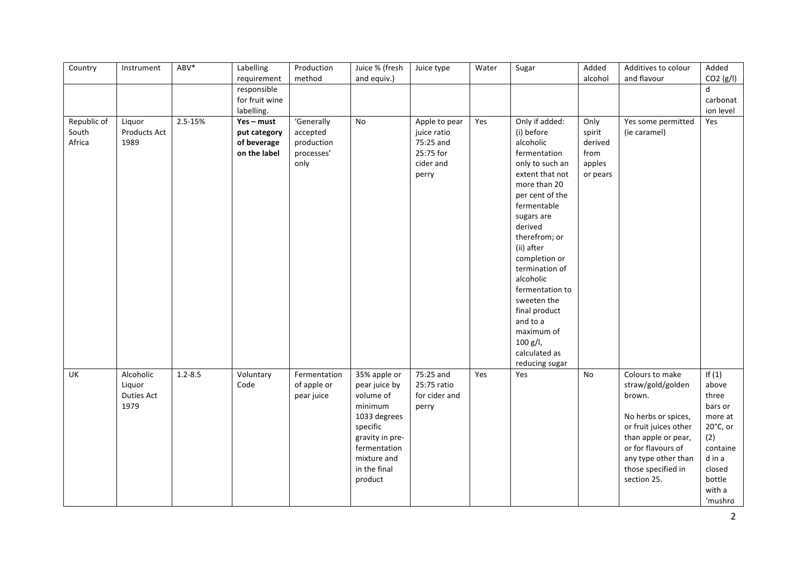| Country                        | Instrument                                       | ABV*        | Labelling<br>requirement                                  | Production<br>method                                       | Juice % (fresh<br>and equiv.)                                                                                                                                  | Juice type                                                                   | Water | Sugar                                                                                                                                                                                                                                                                                                                                                                                    | Added<br>alcohol                                        | Additives to colour<br>and flavour                                                                                                                                                                      | Added<br>CO2(g/l)                                                                                                                  |
|--------------------------------|--------------------------------------------------|-------------|-----------------------------------------------------------|------------------------------------------------------------|----------------------------------------------------------------------------------------------------------------------------------------------------------------|------------------------------------------------------------------------------|-------|------------------------------------------------------------------------------------------------------------------------------------------------------------------------------------------------------------------------------------------------------------------------------------------------------------------------------------------------------------------------------------------|---------------------------------------------------------|---------------------------------------------------------------------------------------------------------------------------------------------------------------------------------------------------------|------------------------------------------------------------------------------------------------------------------------------------|
|                                |                                                  |             | responsible<br>for fruit wine<br>labelling.               |                                                            |                                                                                                                                                                |                                                                              |       |                                                                                                                                                                                                                                                                                                                                                                                          |                                                         |                                                                                                                                                                                                         | $\mathsf{d}$<br>carbonat<br>ion level                                                                                              |
| Republic of<br>South<br>Africa | Liquor<br><b>Products Act</b><br>1989            | 2.5-15%     | Yes - must<br>put category<br>of beverage<br>on the label | 'Generally<br>accepted<br>production<br>processes'<br>only | No                                                                                                                                                             | Apple to pear<br>juice ratio<br>75:25 and<br>25:75 for<br>cider and<br>perry | Yes   | Only if added:<br>(i) before<br>alcoholic<br>fermentation<br>only to such an<br>extent that not<br>more than 20<br>per cent of the<br>fermentable<br>sugars are<br>derived<br>therefrom; or<br>(ii) after<br>completion or<br>termination of<br>alcoholic<br>fermentation to<br>sweeten the<br>final product<br>and to a<br>maximum of<br>$100 g/l$ ,<br>calculated as<br>reducing sugar | Only<br>spirit<br>derived<br>from<br>apples<br>or pears | Yes some permitted<br>(ie caramel)                                                                                                                                                                      | Yes                                                                                                                                |
| UK                             | Alcoholic<br>Liquor<br><b>Duties Act</b><br>1979 | $1.2 - 8.5$ | Voluntary<br>Code                                         | Fermentation<br>of apple or<br>pear juice                  | 35% apple or<br>pear juice by<br>volume of<br>minimum<br>1033 degrees<br>specific<br>gravity in pre-<br>fermentation<br>mixture and<br>in the final<br>product | 75:25 and<br>25:75 ratio<br>for cider and<br>perry                           | Yes   | Yes                                                                                                                                                                                                                                                                                                                                                                                      | No                                                      | Colours to make<br>straw/gold/golden<br>brown.<br>No herbs or spices,<br>or fruit juices other<br>than apple or pear,<br>or for flavours of<br>any type other than<br>those specified in<br>section 25. | If $(1)$<br>above<br>three<br>bars or<br>more at<br>20°C, or<br>(2)<br>containe<br>d in a<br>closed<br>bottle<br>with a<br>'mushro |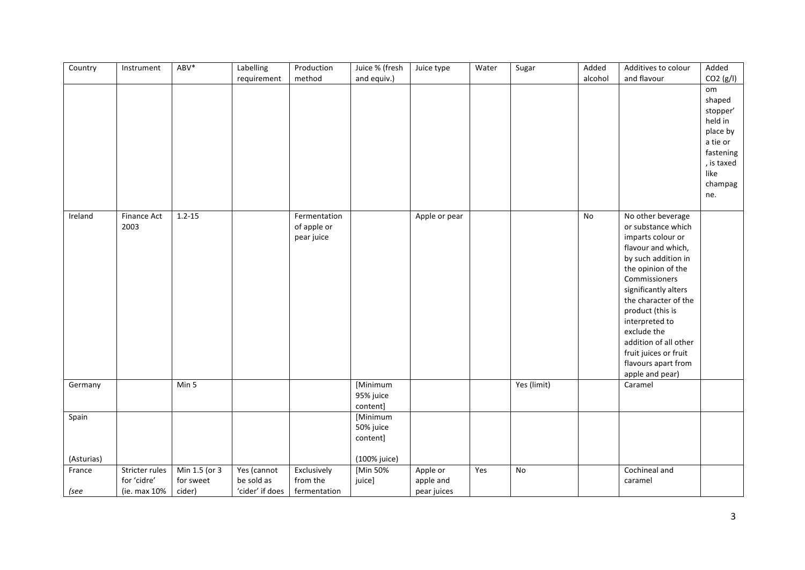| Country             | Instrument                                    | ABV*                                 | Labelling<br>requirement                     | Production<br>method                      | Juice % (fresh<br>and equiv.)                     | Juice type                           | Water | Sugar                    | Added<br>alcohol | Additives to colour<br>and flavour                                                                                                                                                                                                                                                                                                                | Added<br>CO2(g/l)                                                                                                |
|---------------------|-----------------------------------------------|--------------------------------------|----------------------------------------------|-------------------------------------------|---------------------------------------------------|--------------------------------------|-------|--------------------------|------------------|---------------------------------------------------------------------------------------------------------------------------------------------------------------------------------------------------------------------------------------------------------------------------------------------------------------------------------------------------|------------------------------------------------------------------------------------------------------------------|
|                     |                                               |                                      |                                              |                                           |                                                   |                                      |       |                          |                  |                                                                                                                                                                                                                                                                                                                                                   | om<br>shaped<br>stopper'<br>held in<br>place by<br>a tie or<br>fastening<br>, is taxed<br>like<br>champag<br>ne. |
| Ireland             | Finance Act<br>2003                           | $1.2 - 15$                           |                                              | Fermentation<br>of apple or<br>pear juice |                                                   | Apple or pear                        |       |                          | No               | No other beverage<br>or substance which<br>imparts colour or<br>flavour and which,<br>by such addition in<br>the opinion of the<br>Commissioners<br>significantly alters<br>the character of the<br>product (this is<br>interpreted to<br>exclude the<br>addition of all other<br>fruit juices or fruit<br>flavours apart from<br>apple and pear) |                                                                                                                  |
| Germany             |                                               | Min 5                                |                                              |                                           | [Minimum<br>95% juice<br>content]                 |                                      |       | $\overline{Yes}$ (limit) |                  | Caramel                                                                                                                                                                                                                                                                                                                                           |                                                                                                                  |
| Spain<br>(Asturias) |                                               |                                      |                                              |                                           | [Minimum<br>50% juice<br>content]<br>(100% juice) |                                      |       |                          |                  |                                                                                                                                                                                                                                                                                                                                                   |                                                                                                                  |
| France<br>(see      | Stricter rules<br>for 'cidre'<br>(ie. max 10% | Min 1.5 (or 3<br>for sweet<br>cider) | Yes (cannot<br>be sold as<br>'cider' if does | Exclusively<br>from the<br>fermentation   | [Min 50%<br>juice]                                | Apple or<br>apple and<br>pear juices | Yes   | No                       |                  | Cochineal and<br>caramel                                                                                                                                                                                                                                                                                                                          |                                                                                                                  |